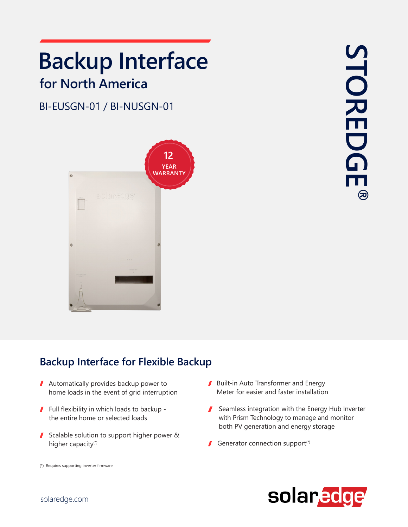# **Backup Interface**

### **for North America**

#### BI-EUSGN-01 / BI-NUSGN-01



#### **Backup Interface for Flexible Backup**

- $\blacksquare$  Automatically provides backup power to home loads in the event of grid interruption
- $\blacksquare$  Full flexibility in which loads to backup the entire home or selected loads
- Scalable solution to support higher power & higher capacity<sup>(\*)</sup>
- Built-in Auto Transformer and Energy Meter for easier and faster installation
- Seamless integration with the Energy Hub Inverter with Prism Technology to manage and monitor both PV generation and energy storage
- Generator connection support(\*)



(\*) Requires supporting inverter firmware

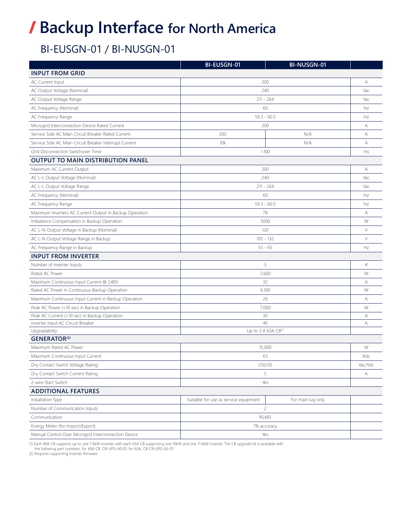## **/ Backup Interface for North America**

#### BI-EUSGN-01 / BI-NUSGN-01

|                                                         | BI-EUSGN-01                           | BI-NUSGN-01       |         |
|---------------------------------------------------------|---------------------------------------|-------------------|---------|
| <b>INPUT FROM GRID</b>                                  |                                       |                   |         |
| <b>AC Current Input</b>                                 | 200                                   |                   | А       |
| AC Output Voltage (Nominal)                             | 240                                   |                   | Vac     |
| AC Output Voltage Range                                 | $211 - 264$                           |                   | Vac     |
| AC Frequency (Nominal)                                  | 60                                    |                   | Hz      |
| AC Frequency Range                                      | $59.3 - 60.5$                         |                   | Hz      |
| Microgrid Interconnection Device Rated Current          | 200                                   |                   | А       |
| Service Side AC Main Circuit Breaker Rated Current      | 200                                   | N/A               | А       |
| Service Side AC Main Circuit Breaker Interrupt Current  | 10k                                   | N/A               | A       |
| Grid Disconnection Switchover Time                      | < 100                                 |                   | ms      |
| <b>OUTPUT TO MAIN DISTRIBUTION PANEL</b>                |                                       |                   |         |
| Maximum AC Current Output                               | 200                                   |                   | А       |
| AC L-L Output Voltage (Nominal)                         | 240                                   |                   | Vac     |
| AC L-L Output Voltage Range                             | $211 - 264$                           |                   | Vac     |
| AC Frequency (Nominal)                                  | 60                                    |                   | Hz      |
| AC Frequency Range                                      | $59.3 - 60.5$                         |                   | Hz      |
| Maximum Inverters AC Current Output in Backup Operation | 78                                    |                   | А       |
| Imbalance Compensation in Backup Operation              | 5000                                  |                   | W       |
| AC L-N Output Voltage in Backup (Nominal)               | 120                                   |                   | $\vee$  |
| AC L-N Output Voltage Range in Backup                   | $105 - 132$                           |                   | $\vee$  |
| AC Frequency Range in Backup                            | $55 - 65$                             |                   | Hz      |
| <b>INPUT FROM INVERTER</b>                              |                                       |                   |         |
| Number of Inverter Inputs                               | 3                                     |                   | $\#$    |
| Rated AC Power                                          | 7,600                                 |                   | W       |
| Maximum Continuous Input Current @ 240V                 | 32                                    |                   | Α       |
| Rated AC Power in Continuous Backup Operation           | 6,100                                 |                   | W       |
| Maximum Continuous Input Current in Backup Operation    | 26                                    |                   | А       |
| Peak AC Power (<10 sec) in Backup Operation             | 7,000                                 |                   | W       |
| Peak AC Current (<10 sec) in Backup Operation           | 30                                    |                   | А       |
| Inverter Input AC Circuit Breaker                       | 40                                    |                   | А       |
| Upgradability                                           | Up to 3 $X$ 63A CB <sup>(1)</sup>     |                   |         |
| <b>GENERATOR(2)</b><br>Maximum Rated AC Power           |                                       |                   | W       |
| Maximum Continuous Input Current                        | 15,000<br>63                          |                   | Adc     |
| Dry Contact Switch Voltage Rating                       | 250/30                                |                   | Vac/Vdc |
| Dry Contact Switch Current Rating                       | 5                                     |                   | Α       |
| 2-wire Start Switch                                     | Yes                                   |                   |         |
| <b>ADDITIONAL FEATURES</b>                              |                                       |                   |         |
| Installation Type                                       | Suitable for use as service equipment | For main lug only |         |
| Number of Communication Inputs                          | $\overline{c}$                        |                   |         |
| Communication                                           | <b>RS485</b>                          |                   |         |
| Energy Meter (for Import/Export)                        | 1% accuracy                           |                   |         |
| Manual Control Over Microgrid Interconnection Device    | Yes                                   |                   |         |
|                                                         |                                       |                   |         |

(1) Each 40A CB supports up to one 7.6kW inverter, with each 63A CB supporting one 10kW and one 11.4kW inverter. The CB upgrade kit is available with<br>the following part numbers: for 40A CB, CB-UPG-40-01; for 63A, CB CB-UPG